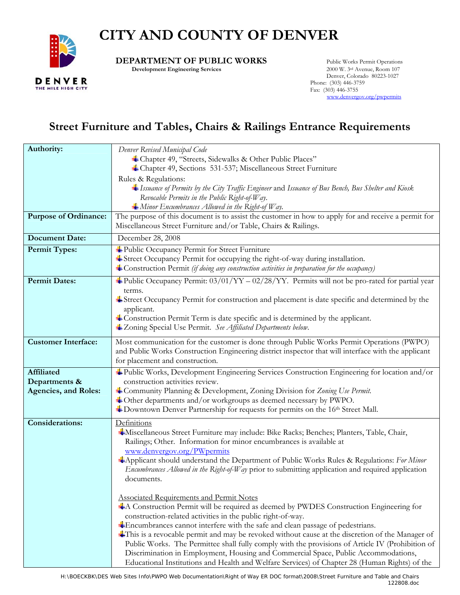# **CITY AND COUNTY OF DENVER**



**DEPARTMENT OF PUBLIC WORKS** Public Works Permit Operations<br>Development Engineering Services 2000 W. 3<sup>rd</sup> Avenue, Room 107

**Development Engineering Services** 

 Denver, Colorado 80223-1027 Phone: (303) 446-3759 Fax: (303) 446-3755 [www.denvergov.org/pwpermits](http://www.denvergov.org/pwpermits)

## **Street Furniture and Tables, Chairs & Railings Entrance Requirements**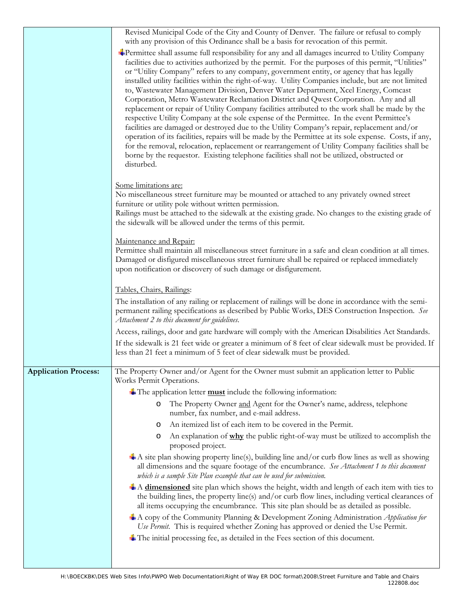|                             | Revised Municipal Code of the City and County of Denver. The failure or refusal to comply<br>with any provision of this Ordinance shall be a basis for revocation of this permit.                                                                                                                                                                                                                                                                                                                                                                                                                                                                                                                                                                                                                                                                                                                                                                                                                                                                                                                                                                                                                                 |
|-----------------------------|-------------------------------------------------------------------------------------------------------------------------------------------------------------------------------------------------------------------------------------------------------------------------------------------------------------------------------------------------------------------------------------------------------------------------------------------------------------------------------------------------------------------------------------------------------------------------------------------------------------------------------------------------------------------------------------------------------------------------------------------------------------------------------------------------------------------------------------------------------------------------------------------------------------------------------------------------------------------------------------------------------------------------------------------------------------------------------------------------------------------------------------------------------------------------------------------------------------------|
|                             | Permittee shall assume full responsibility for any and all damages incurred to Utility Company<br>facilities due to activities authorized by the permit. For the purposes of this permit, "Utilities"<br>or "Utility Company" refers to any company, government entity, or agency that has legally<br>installed utility facilities within the right-of-way. Utility Companies include, but are not limited<br>to, Wastewater Management Division, Denver Water Department, Xcel Energy, Comcast<br>Corporation, Metro Wastewater Reclamation District and Qwest Corporation. Any and all<br>replacement or repair of Utility Company facilities attributed to the work shall be made by the<br>respective Utility Company at the sole expense of the Permittee. In the event Permittee's<br>facilities are damaged or destroyed due to the Utility Company's repair, replacement and/or<br>operation of its facilities, repairs will be made by the Permittee at its sole expense. Costs, if any,<br>for the removal, relocation, replacement or rearrangement of Utility Company facilities shall be<br>borne by the requestor. Existing telephone facilities shall not be utilized, obstructed or<br>disturbed. |
|                             | Some limitations are:<br>No miscellaneous street furniture may be mounted or attached to any privately owned street<br>furniture or utility pole without written permission.<br>Railings must be attached to the sidewalk at the existing grade. No changes to the existing grade of<br>the sidewalk will be allowed under the terms of this permit.                                                                                                                                                                                                                                                                                                                                                                                                                                                                                                                                                                                                                                                                                                                                                                                                                                                              |
|                             | Maintenance and Repair:<br>Permittee shall maintain all miscellaneous street furniture in a safe and clean condition at all times.<br>Damaged or disfigured miscellaneous street furniture shall be repaired or replaced immediately<br>upon notification or discovery of such damage or disfigurement.                                                                                                                                                                                                                                                                                                                                                                                                                                                                                                                                                                                                                                                                                                                                                                                                                                                                                                           |
|                             | Tables, Chairs, Railings:                                                                                                                                                                                                                                                                                                                                                                                                                                                                                                                                                                                                                                                                                                                                                                                                                                                                                                                                                                                                                                                                                                                                                                                         |
|                             | The installation of any railing or replacement of railings will be done in accordance with the semi-<br>permanent railing specifications as described by Public Works, DES Construction Inspection. See<br>Attachment 2 to this document for guidelines.                                                                                                                                                                                                                                                                                                                                                                                                                                                                                                                                                                                                                                                                                                                                                                                                                                                                                                                                                          |
|                             | Access, railings, door and gate hardware will comply with the American Disabilities Act Standards.<br>If the sidewalk is 21 feet wide or greater a minimum of 8 feet of clear sidewalk must be provided. If<br>less than 21 feet a minimum of 5 feet of clear sidewalk must be provided.                                                                                                                                                                                                                                                                                                                                                                                                                                                                                                                                                                                                                                                                                                                                                                                                                                                                                                                          |
| <b>Application Process:</b> | The Property Owner and/or Agent for the Owner must submit an application letter to Public<br>Works Permit Operations.                                                                                                                                                                                                                                                                                                                                                                                                                                                                                                                                                                                                                                                                                                                                                                                                                                                                                                                                                                                                                                                                                             |
|                             | $\triangleq$ The application letter <b>must</b> include the following information:                                                                                                                                                                                                                                                                                                                                                                                                                                                                                                                                                                                                                                                                                                                                                                                                                                                                                                                                                                                                                                                                                                                                |
|                             | The Property Owner and Agent for the Owner's name, address, telephone<br>O<br>number, fax number, and e-mail address.                                                                                                                                                                                                                                                                                                                                                                                                                                                                                                                                                                                                                                                                                                                                                                                                                                                                                                                                                                                                                                                                                             |
|                             | An itemized list of each item to be covered in the Permit.<br>$\circ$                                                                                                                                                                                                                                                                                                                                                                                                                                                                                                                                                                                                                                                                                                                                                                                                                                                                                                                                                                                                                                                                                                                                             |
|                             | An explanation of why the public right-of-way must be utilized to accomplish the<br>O<br>proposed project.                                                                                                                                                                                                                                                                                                                                                                                                                                                                                                                                                                                                                                                                                                                                                                                                                                                                                                                                                                                                                                                                                                        |
|                             | $\pm$ A site plan showing property line(s), building line and/or curb flow lines as well as showing<br>all dimensions and the square footage of the encumbrance. See Attachment 1 to this document<br>which is a sample Site Plan example that can be used for submission.                                                                                                                                                                                                                                                                                                                                                                                                                                                                                                                                                                                                                                                                                                                                                                                                                                                                                                                                        |
|                             | A dimensioned site plan which shows the height, width and length of each item with ties to<br>the building lines, the property line(s) and/or curb flow lines, including vertical clearances of<br>all items occupying the encumbrance. This site plan should be as detailed as possible.                                                                                                                                                                                                                                                                                                                                                                                                                                                                                                                                                                                                                                                                                                                                                                                                                                                                                                                         |
|                             | A copy of the Community Planning & Development Zoning Administration Application for<br>Use Permit. This is required whether Zoning has approved or denied the Use Permit.                                                                                                                                                                                                                                                                                                                                                                                                                                                                                                                                                                                                                                                                                                                                                                                                                                                                                                                                                                                                                                        |
|                             | $\pm$ The initial processing fee, as detailed in the Fees section of this document.                                                                                                                                                                                                                                                                                                                                                                                                                                                                                                                                                                                                                                                                                                                                                                                                                                                                                                                                                                                                                                                                                                                               |
|                             |                                                                                                                                                                                                                                                                                                                                                                                                                                                                                                                                                                                                                                                                                                                                                                                                                                                                                                                                                                                                                                                                                                                                                                                                                   |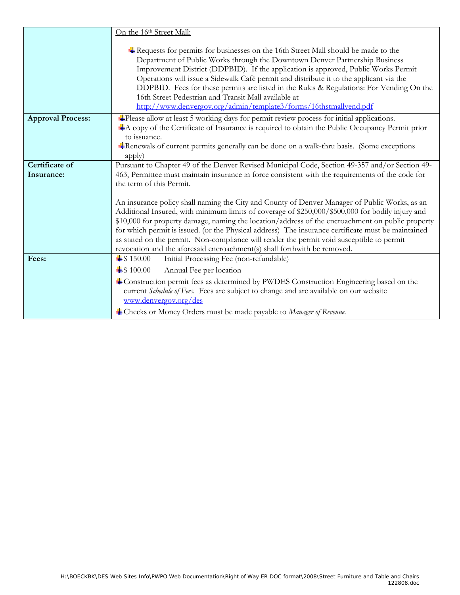|                              | On the 16th Street Mall:                                                                                                                                                                                                                                                                                                                                                                                                                                                                                                                                                                 |
|------------------------------|------------------------------------------------------------------------------------------------------------------------------------------------------------------------------------------------------------------------------------------------------------------------------------------------------------------------------------------------------------------------------------------------------------------------------------------------------------------------------------------------------------------------------------------------------------------------------------------|
|                              | $\frac{1}{2}$ Requests for permits for businesses on the 16th Street Mall should be made to the<br>Department of Public Works through the Downtown Denver Partnership Business<br>Improvement District (DDPBID). If the application is approved, Public Works Permit<br>Operations will issue a Sidewalk Café permit and distribute it to the applicant via the<br>DDPBID. Fees for these permits are listed in the Rules & Regulations: For Vending On the<br>16th Street Pedestrian and Transit Mall available at<br>http://www.denvergov.org/admin/template3/forms/16thstmallvend.pdf |
| <b>Approval Process:</b>     | Please allow at least 5 working days for permit review process for initial applications.<br>A copy of the Certificate of Insurance is required to obtain the Public Occupancy Permit prior<br>to issuance.                                                                                                                                                                                                                                                                                                                                                                               |
|                              | *Renewals of current permits generally can be done on a walk-thru basis. (Some exceptions<br>apply)                                                                                                                                                                                                                                                                                                                                                                                                                                                                                      |
| Certificate of<br>Insurance: | Pursuant to Chapter 49 of the Denver Revised Municipal Code, Section 49-357 and/or Section 49-<br>463, Permittee must maintain insurance in force consistent with the requirements of the code for<br>the term of this Permit.                                                                                                                                                                                                                                                                                                                                                           |
|                              | An insurance policy shall naming the City and County of Denver Manager of Public Works, as an<br>Additional Insured, with minimum limits of coverage of \$250,000/\$500,000 for bodily injury and<br>\$10,000 for property damage, naming the location/address of the encroachment on public property<br>for which permit is issued. (or the Physical address) The insurance certificate must be maintained<br>as stated on the permit. Non-compliance will render the permit void susceptible to permit<br>revocation and the aforesaid encroachment(s) shall forthwith be removed.     |
| Fees:                        | $\pm$ \$150.00<br>Initial Processing Fee (non-refundable)                                                                                                                                                                                                                                                                                                                                                                                                                                                                                                                                |
|                              | $\pm$ \$100.00<br>Annual Fee per location                                                                                                                                                                                                                                                                                                                                                                                                                                                                                                                                                |
|                              | Construction permit fees as determined by PWDES Construction Engineering based on the<br>current Schedule of Fees. Fees are subject to change and are available on our website<br>www.denvergov.org/des                                                                                                                                                                                                                                                                                                                                                                                  |
|                              | Checks or Money Orders must be made payable to Manager of Revenue.                                                                                                                                                                                                                                                                                                                                                                                                                                                                                                                       |
|                              |                                                                                                                                                                                                                                                                                                                                                                                                                                                                                                                                                                                          |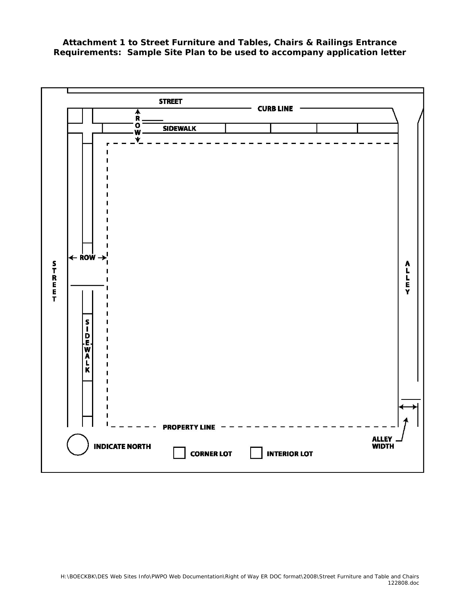**Attachment 1 to** *Street Furniture and Tables, Chairs & Railings Entrance Requirements***: Sample Site Plan to be used to accompany application letter**